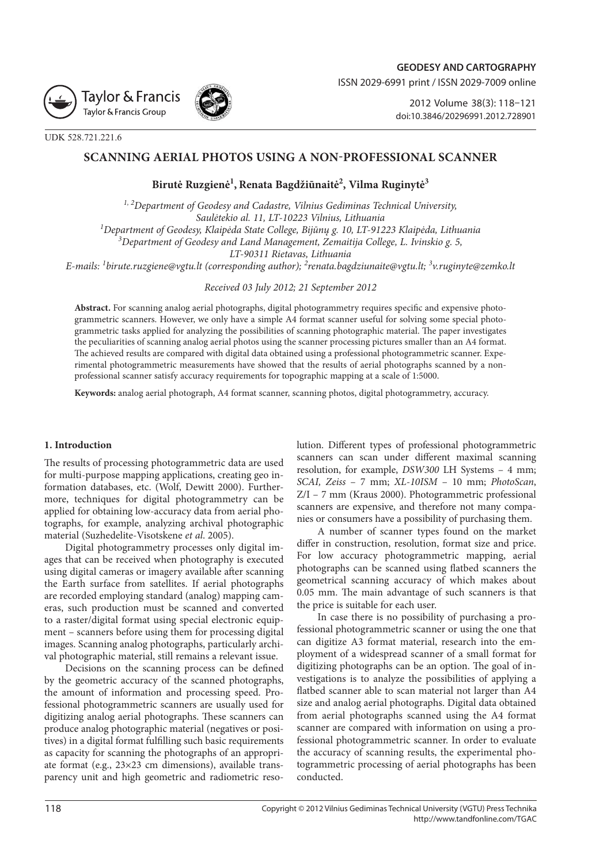



2012 Volume 38(3): 118–121 [doi:10.3846/20296991.2012.728901](http://dx.doi.org/10.3846/20296991.2012.728901)

UDK 528.721.221.6

## **SCANNING AERIAL PHOTOS USING A NON-PROFESSIONAL SCANNER**

# **Birutė Ruzgienė1 , Renata Bagdžiūnaitė2 , Vilma Ruginytė3**

*1, 2Department of Geodesy and Cadastre, Vilnius Gediminas Technical University, Saulėtekio al. 11, LT-10223 Vilnius, Lithuania <sup>1</sup> Department of Geodesy, Klaipėda State College, Bijūnų g. 10, LT-91223 Klaipėda, Lithuania 3 Department of Geodesy and Land Management, Zemaitija College, L. Ivinskio g. 5, LT-90311 Rietavas, Lithuania* 

*E-mails: <sup>1</sup> [birute.ruzgiene@vgtu.lt](mailto:birute.ruzgiene@vgtu.lt) (corresponding author); <sup>2</sup> [renata.bagdziunaite@vgtu.lt](mailto:renata.bagdziunaite@vgtu.lt); <sup>3</sup> v.ruginyte@zemko.lt*

*Received 03 July 2012; 21 September 2012*

**Abstract.** For scanning analog aerial photographs, digital photogrammetry requires specific and expensive photogrammetric scanners. However, we only have a simple A4 format scanner useful for solving some special photogrammetric tasks applied for analyzing the possibilities of scanning photographic material. The paper investigates the peculiarities of scanning analog aerial photos using the scanner processing pictures smaller than an A4 format. The achieved results are compared with digital data obtained using a professional photogrammetric scanner. Experimental photogrammetric measurements have showed that the results of aerial photographs scanned by a nonprofessional scanner satisfy accuracy requirements for topographic mapping at a scale of 1:5000.

**Keywords:** analog aerial photograph, A4 format scanner, scanning photos, digital photogrammetry, accuracy.

### **1. Introduction**

The results of processing photogrammetric data are used for multi-purpose mapping applications, creating geo information databases, etc. (Wolf, Dewitt 2000). Furthermore, techniques for digital photogrammetry can be applied for obtaining low-accuracy data from aerial photographs, for example, analyzing archival photographic material (Suzhedelite-Visotskene *et al*. 2005).

Digital photogrammetry processes only digital images that can be received when photography is executed using digital cameras or imagery available after scanning the Earth surface from satellites. If aerial photographs are recorded employing standard (analog) mapping cameras, such production must be scanned and converted to a raster/digital format using special electronic equipment – scanners before using them for processing digital images. Scanning analog photographs, particularly archival photographic material, still remains a relevant issue.

Decisions on the scanning process can be defined by the geometric accuracy of the scanned photographs, the amount of information and processing speed. Professional photogrammetric scanners are usually used for digitizing analog aerial photographs. These scanners can produce analog photographic material (negatives or positives) in a digital format fulfilling such basic requirements as capacity for scanning the photographs of an appropriate format (e.g., 23×23 cm dimensions), available transparency unit and high geometric and radiometric resolution. Different types of professional photogrammetric scanners can scan under different maximal scanning resolution, for example, *DSW300* LH Systems – 4 mm; *SCAI, Zeiss* – 7 mm; *XL*-*10ISM* – 10 mm; *PhotoScan*, Z/I – 7 mm (Kraus 2000). Photogrammetric professional scanners are expensive, and therefore not many companies or consumers have a possibility of purchasing them.

A number of scanner types found on the market differ in construction, resolution, format size and price. For low accuracy photogrammetric mapping, aerial photographs can be scanned using flatbed scanners the geometrical scanning accuracy of which makes about 0.05 mm. The main advantage of such scanners is that the price is suitable for each user.

In case there is no possibility of purchasing a professional photogrammetric scanner or using the one that can digitize A3 format material, research into the employment of a widespread scanner of a small format for digitizing photographs can be an option. The goal of investigations is to analyze the possibilities of applying a flatbed scanner able to scan material not larger than A4 size and analog aerial photographs. Digital data obtained from aerial photographs scanned using the A4 format scanner are compared with information on using a professional photogrammetric scanner. In order to evaluate the accuracy of scanning results, the experimental photogrammetric processing of aerial photographs has been conducted.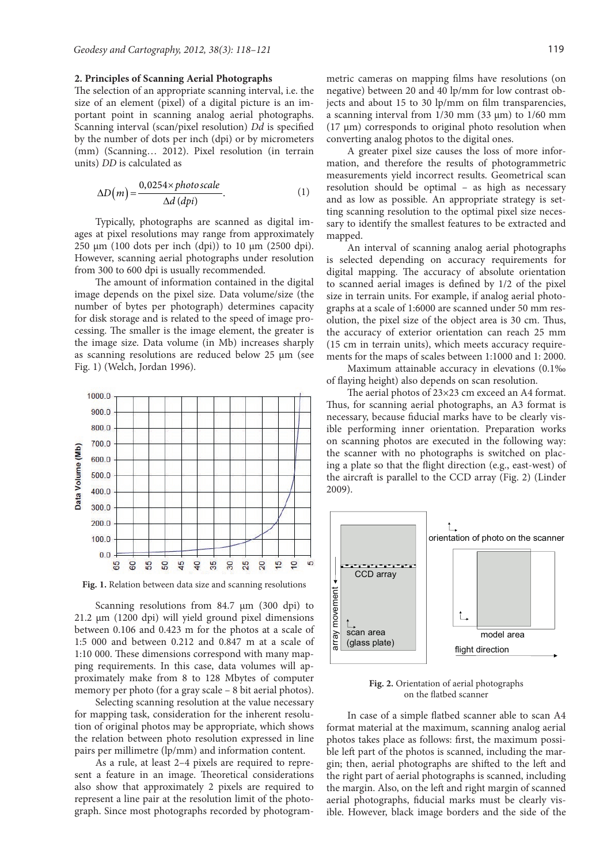#### **2. Principles of Scanning Aerial Photographs**

The selection of an appropriate scanning interval, i.e. the size of an element (pixel) of a digital picture is an important point in scanning analog aerial photographs. Scanning interval (scan/pixel resolution) *Dd* is specified by the number of dots per inch (dpi) or by micrometers (mm) (Scanning… 2012). Pixel resolution (in terrain units) *DD* is calculated as

$$
\Delta D(m) = \frac{0.0254 \times photoscale}{\Delta d (dpi)}.
$$
 (1)

Typically, photographs are scanned as digital images at pixel resolutions may range from approximately 250  $\mu$ m (100 dots per inch (dpi)) to 10  $\mu$ m (2500 dpi). However, scanning aerial photographs under resolution from 300 to 600 dpi is usually recommended.

The amount of information contained in the digital image depends on the pixel size. Data volume/size (the number of bytes per photograph) determines capacity for disk storage and is related to the speed of image processing. The smaller is the image element, the greater is the image size. Data volume (in Mb) increases sharply as scanning resolutions are reduced below 25 µm (see Fig. 1) (Welch, Jordan 1996).



**Fig. 1.** Relation between data size and scanning resolutions

Scanning resolutions from  $84.7 \mu m$  (300 dpi) to  $21.2 \mu m$  (1200 dpi) will yield ground pixel dimensions between 0.106 and 0.423 m for the photos at a scale of 1:5 000 and between 0.212 and 0.847 m at a scale of 1:10 000. These dimensions correspond with many mapping requirements. In this case, data volumes will approximately make from 8 to 128 Mbytes of computer memory per photo (for a gray scale – 8 bit aerial photos).

Selecting scanning resolution at the value necessary for mapping task, consideration for the inherent resolution of original photos may be appropriate, which shows the relation between photo resolution expressed in line pairs per millimetre (lp/mm) and information content.

As a rule, at least 2–4 pixels are required to represent a feature in an image. Theoretical considerations also show that approximately 2 pixels are required to represent a line pair at the resolution limit of the photograph. Since most photographs recorded by photogrammetric cameras on mapping films have resolutions (on negative) between 20 and 40 lp/mm for low contrast objects and about 15 to 30 lp/mm on film transparencies, a scanning interval from  $1/30$  mm  $(33 \mu m)$  to  $1/60$  mm (17 µm) corresponds to original photo resolution when converting analog photos to the digital ones.

A greater pixel size causes the loss of more information, and therefore the results of photogrammetric measurements yield incorrect results. Geometrical scan resolution should be optimal – as high as necessary and as low as possible. An appropriate strategy is setting scanning resolution to the optimal pixel size necessary to identify the smallest features to be extracted and mapped.

An interval of scanning analog aerial photographs is selected depending on accuracy requirements for digital mapping. The accuracy of absolute orientation to scanned aerial images is defined by 1/2 of the pixel size in terrain units. For example, if analog aerial photographs at a scale of 1:6000 are scanned under 50 mm resolution, the pixel size of the object area is 30 cm. Thus, the accuracy of exterior orientation can reach 25 mm (15 cm in terrain units), which meets accuracy requirements for the maps of scales between 1:1000 and 1: 2000.

Maximum attainable accuracy in elevations (0.1‰ of flaying height) also depends on scan resolution.

The aerial photos of 23×23 cm exceed an A4 format. Thus, for scanning aerial photographs, an A3 format is necessary, because fiducial marks have to be clearly visible performing inner orientation. Preparation works on scanning photos are executed in the following way: the scanner with no photographs is switched on placing a plate so that the flight direction (e.g., east-west) of the aircraft is parallel to the CCD array (Fig. 2) (Linder 2009).



**Fig. 2.** Orientation of aerial photographs on the flatbed scanner

In case of a simple flatbed scanner able to scan A4 format material at the maximum, scanning analog aerial photos takes place as follows: first, the maximum possible left part of the photos is scanned, including the margin; then, aerial photographs are shifted to the left and the right part of aerial photographs is scanned, including the margin. Also, on the left and right margin of scanned aerial photographs, fiducial marks must be clearly visible. However, black image borders and the side of the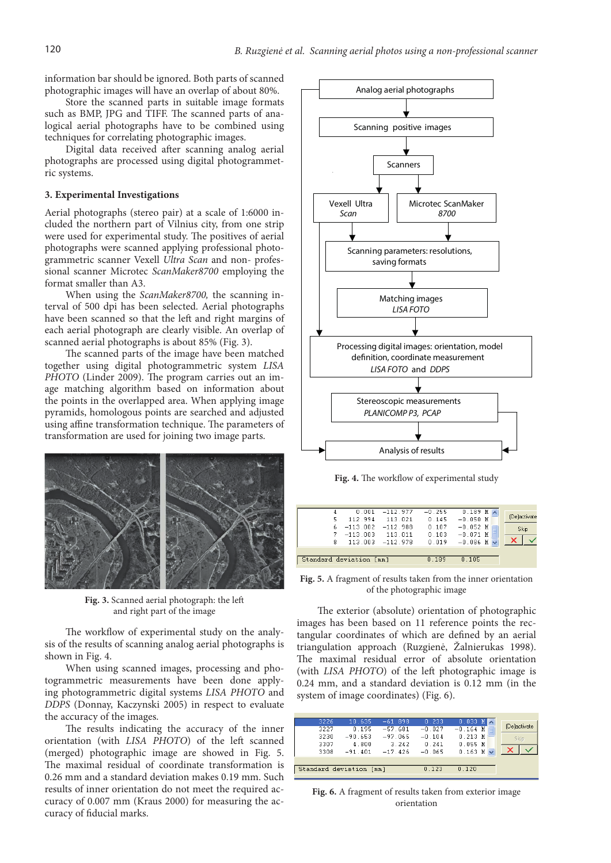information bar should be ignored. Both parts of scanned photographic images will have an overlap of about 80%.

Store the scanned parts in suitable image formats such as BMP, JPG and TIFF. The scanned parts of analogical aerial photographs have to be combined using techniques for correlating photographic images.

Digital data received after scanning analog aerial photographs are processed using digital photogrammetric systems.

#### **3. Experimental Investigations**

Aerial photographs (stereo pair) at a scale of 1:6000 included the northern part of Vilnius city, from one strip were used for experimental study. The positives of aerial photographs were scanned applying professional photogrammetric scanner Vexell *Ultra Scan* and non- professional scanner Microtec *ScanMaker8700* employing the format smaller than A3.

When using the *ScanMaker8700,* the scanning interval of 500 dpi has been selected. Aerial photographs have been scanned so that the left and right margins of each aerial photograph are clearly visible. An overlap of scanned aerial photographs is about 85% (Fig. 3).

The scanned parts of the image have been matched together using digital photogrammetric system *LISA PHOTO* (Linder 2009). The program carries out an image matching algorithm based on information about the points in the overlapped area. When applying image pyramids, homologous points are searched and adjusted using affine transformation technique. The parameters of transformation are used for joining two image parts.



**Fig. 3.** Scanned aerial photograph: the left and right part of the image

The workflow of experimental study on the analysis of the results of scanning analog aerial photographs is shown in Fig. 4.

When using scanned images, processing and photogrammetric measurements have been done applying photogrammetric digital systems *LISA PHOTO* and *DDPS* (Donnay, Kaczynski 2005) in respect to evaluate the accuracy of the images.

The results indicating the accuracy of the inner orientation (with *LISA PHOTO*) of the left scanned (merged) photographic image are showed in Fig. 5. The maximal residual of coordinate transformation is 0.26 mm and a standard deviation makes 0.19 mm. Such results of inner orientation do not meet the required accuracy of 0.007 mm (Kraus 2000) for measuring the accuracy of fiducial marks.



**Fig. 4.** The workflow of experimental study

| 4                       |                     | $0.001 -112.977$   | $-0.255$ | $0.189$ M $\wedge$ |              |
|-------------------------|---------------------|--------------------|----------|--------------------|--------------|
| 5                       | 112.994             | 113.021            | 0.145    | $-0.050$ M         | (De)activate |
| 6.                      | $-113.002 -112.988$ |                    | 0.107    | $-0.052$ M         | Skip         |
| 7.                      | $-113.003$          | 113.011            | 0.103    | $-0.071$ M         |              |
| 8                       |                     | $113.003 -112.978$ | 0.019    | $-0.086$ M         |              |
|                         |                     |                    |          |                    |              |
| Standard deviation [mm] |                     | n 189              | 0.105    |                    |              |

**Fig. 5.** A fragment of results taken from the inner orientation of the photographic image

The exterior (absolute) orientation of photographic images has been based on 11 reference points the rectangular coordinates of which are defined by an aerial triangulation approach (Ruzgienė, Žalnierukas 1998). The maximal residual error of absolute orientation (with *LISA PHOTO*) of the left photographic image is 0.24 mm, and a standard deviation is 0.12 mm (in the system of image coordinates) (Fig. 6).

| 3226                    | 10.635    | $-61.898$ | 0.233    | $0.033$ M $\overline{\wedge}$ |      |              |
|-------------------------|-----------|-----------|----------|-------------------------------|------|--------------|
| 3227                    | 0.195     | $-57.681$ | $-0.027$ | $-0.164$ M                    |      | [De]activate |
| 3230                    | $-90.653$ | $-97.065$ | $-0.104$ | $0.213$ M                     | Skip |              |
| 3307                    | 4.800     | 3.242     | 0.241    | $0.055$ M                     |      |              |
| 3308                    | $-91.401$ | $-17.426$ | $-0.065$ | $0.163$ M                     |      |              |
|                         |           |           |          |                               |      |              |
| Standard deviation [mm] |           |           | 0.123    | 0.120                         |      |              |
|                         |           |           |          |                               |      |              |

**Fig. 6.** A fragment of results taken from exterior image orientation